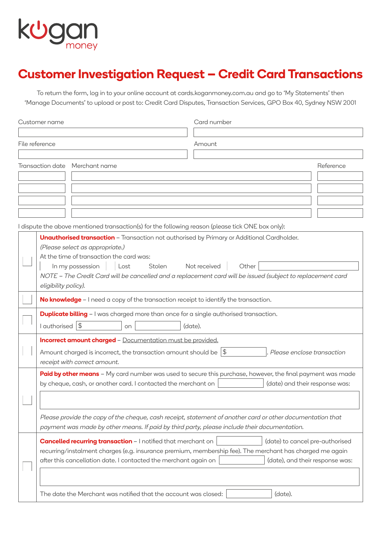

## **Customer Investigation Request – Credit Card Transactions**

To return the form, log in to your online account at [cards.koganmoney.com.au](http://cards.koganmoney.com.au) and go to 'My Statements' then 'Manage Documents' to upload or post to: Credit Card Disputes, Transaction Services, GPO Box 40, Sydney NSW 2001

| Customer name  |                                                                                                   | Card number                                                                                                 |  |  |  |  |
|----------------|---------------------------------------------------------------------------------------------------|-------------------------------------------------------------------------------------------------------------|--|--|--|--|
|                |                                                                                                   |                                                                                                             |  |  |  |  |
| File reference |                                                                                                   | Amount                                                                                                      |  |  |  |  |
|                |                                                                                                   |                                                                                                             |  |  |  |  |
|                | Transaction date Merchant name                                                                    | Reference                                                                                                   |  |  |  |  |
|                |                                                                                                   |                                                                                                             |  |  |  |  |
|                |                                                                                                   |                                                                                                             |  |  |  |  |
|                |                                                                                                   |                                                                                                             |  |  |  |  |
|                |                                                                                                   |                                                                                                             |  |  |  |  |
|                | I dispute the above mentioned transaction(s) for the following reason (please tick ONE box only): |                                                                                                             |  |  |  |  |
|                | <b>Unauthorised transaction</b> - Transaction not authorised by Primary or Additional Cardholder. |                                                                                                             |  |  |  |  |
|                | (Please select as appropriate.)                                                                   |                                                                                                             |  |  |  |  |
|                | At the time of transaction the card was:                                                          |                                                                                                             |  |  |  |  |
|                | Stolen<br>In my possession<br>Lost                                                                | Other<br>Not received                                                                                       |  |  |  |  |
|                | eligibility policy).                                                                              | NOTE - The Credit Card will be cancelled and a replacement card will be issued (subject to replacement card |  |  |  |  |
|                |                                                                                                   |                                                                                                             |  |  |  |  |
|                | No knowledge - I need a copy of the transaction receipt to identify the transaction.              |                                                                                                             |  |  |  |  |
|                | <b>Duplicate billing</b> - I was charged more than once for a single authorised transaction.      |                                                                                                             |  |  |  |  |
|                | I authorised   \$<br>on                                                                           | (date).                                                                                                     |  |  |  |  |
|                | Incorrect amount charged - Documentation must be provided.                                        |                                                                                                             |  |  |  |  |
|                | Amount charged is incorrect, the transaction amount should be $ \$$                               | Please enclose transaction                                                                                  |  |  |  |  |
|                | receipt with correct amount.                                                                      |                                                                                                             |  |  |  |  |
|                |                                                                                                   | Paid by other means - My card number was used to secure this purchase, however, the final payment was made  |  |  |  |  |
|                | by cheque, cash, or another card. I contacted the merchant on                                     | (date) and their response was:                                                                              |  |  |  |  |
|                |                                                                                                   |                                                                                                             |  |  |  |  |
|                |                                                                                                   | Please provide the copy of the cheque, cash receipt, statement of another card or other documentation that  |  |  |  |  |
|                | payment was made by other means. If paid by third party, please include their documentation.      |                                                                                                             |  |  |  |  |
|                | <b>Cancelled recurring transaction - I notified that merchant on</b>                              | (date) to cancel pre-authorised                                                                             |  |  |  |  |
|                |                                                                                                   | recurring/instalment charges (e.g. insurance premium, membership fee). The merchant has charged me again    |  |  |  |  |
|                | after this cancellation date. I contacted the merchant again on                                   | (date), and their response was:                                                                             |  |  |  |  |
|                |                                                                                                   |                                                                                                             |  |  |  |  |
|                |                                                                                                   |                                                                                                             |  |  |  |  |
|                | The date the Merchant was notified that the account was closed:                                   | (date).                                                                                                     |  |  |  |  |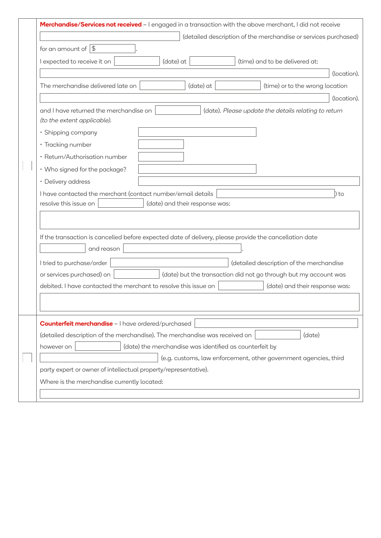|                                                                                                                                |  |           |           |  | Merchandise/Services not received - I engaged in a transaction with the above merchant, I did not receive |             |
|--------------------------------------------------------------------------------------------------------------------------------|--|-----------|-----------|--|-----------------------------------------------------------------------------------------------------------|-------------|
|                                                                                                                                |  |           |           |  | (detailed description of the merchandise or services purchased)                                           |             |
| for an amount of $ \$$                                                                                                         |  |           |           |  |                                                                                                           |             |
| I expected to receive it on                                                                                                    |  | (date) at |           |  | (time) and to be delivered at:                                                                            |             |
| (location).                                                                                                                    |  |           |           |  |                                                                                                           |             |
| The merchandise delivered late on                                                                                              |  |           | (date) at |  | (time) or to the wrong location                                                                           |             |
|                                                                                                                                |  |           |           |  |                                                                                                           | (location). |
| and I have returned the merchandise on<br>(date). Please update the details relating to return<br>(to the extent applicable).  |  |           |           |  |                                                                                                           |             |
| · Shipping company                                                                                                             |  |           |           |  |                                                                                                           |             |
| · Tracking number                                                                                                              |  |           |           |  |                                                                                                           |             |
| · Return/Authorisation number                                                                                                  |  |           |           |  |                                                                                                           |             |
| • Who signed for the package?                                                                                                  |  |           |           |  |                                                                                                           |             |
| • Delivery address                                                                                                             |  |           |           |  |                                                                                                           |             |
| I have contacted the merchant (contact number/email details<br>) to<br>resolve this issue on<br>(date) and their response was: |  |           |           |  |                                                                                                           |             |
| If the transaction is cancelled before expected date of delivery, please provide the cancellation date<br>and reason           |  |           |           |  |                                                                                                           |             |
| I tried to purchase/order                                                                                                      |  |           |           |  | (detailed description of the merchandise                                                                  |             |
| or services purchased) on<br>(date) but the transaction did not go through but my account was                                  |  |           |           |  |                                                                                                           |             |
| debited. I have contacted the merchant to resolve this issue on                                                                |  |           |           |  | (date) and their response was:                                                                            |             |
|                                                                                                                                |  |           |           |  |                                                                                                           |             |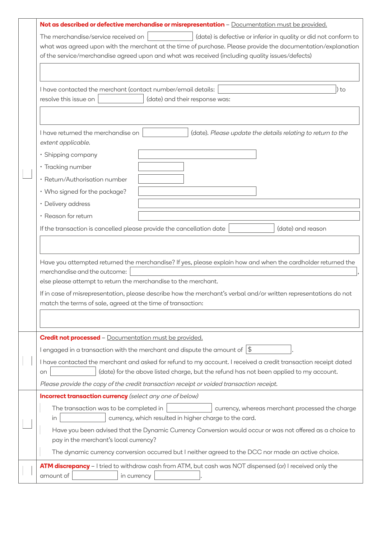|  | Not as described or defective merchandise or misrepresentation - Documentation must be provided.<br>The merchandise/service received on<br>(date) is defective or inferior in quality or did not conform to |  |  |  |  |  |
|--|-------------------------------------------------------------------------------------------------------------------------------------------------------------------------------------------------------------|--|--|--|--|--|
|  |                                                                                                                                                                                                             |  |  |  |  |  |
|  | what was agreed upon with the merchant at the time of purchase. Please provide the documentation/explanation                                                                                                |  |  |  |  |  |
|  | of the service/merchandise agreed upon and what was received (including quality issues/defects)                                                                                                             |  |  |  |  |  |
|  |                                                                                                                                                                                                             |  |  |  |  |  |
|  | I have contacted the merchant (contact number/email details:<br>) to                                                                                                                                        |  |  |  |  |  |
|  | resolve this issue on<br>(date) and their response was:                                                                                                                                                     |  |  |  |  |  |
|  |                                                                                                                                                                                                             |  |  |  |  |  |
|  | I have returned the merchandise on<br>(date). Please update the details relating to return to the<br>extent applicable.                                                                                     |  |  |  |  |  |
|  | · Shipping company                                                                                                                                                                                          |  |  |  |  |  |
|  | • Tracking number                                                                                                                                                                                           |  |  |  |  |  |
|  | • Return/Authorisation number                                                                                                                                                                               |  |  |  |  |  |
|  | • Who signed for the package?                                                                                                                                                                               |  |  |  |  |  |
|  | • Delivery address                                                                                                                                                                                          |  |  |  |  |  |
|  | · Reason for return                                                                                                                                                                                         |  |  |  |  |  |
|  | If the transaction is cancelled please provide the cancellation date<br>(date) and reason                                                                                                                   |  |  |  |  |  |
|  |                                                                                                                                                                                                             |  |  |  |  |  |
|  |                                                                                                                                                                                                             |  |  |  |  |  |
|  | Have you attempted returned the merchandise? If yes, please explain how and when the cardholder returned the                                                                                                |  |  |  |  |  |
|  | merchandise and the outcome:                                                                                                                                                                                |  |  |  |  |  |
|  | else please attempt to return the merchandise to the merchant.                                                                                                                                              |  |  |  |  |  |
|  | If in case of misrepresentation, please describe how the merchant's verbal and/or written representations do not<br>match the terms of sale, agreed at the time of transaction:                             |  |  |  |  |  |
|  |                                                                                                                                                                                                             |  |  |  |  |  |
|  |                                                                                                                                                                                                             |  |  |  |  |  |
|  | <b>Credit not processed</b> - Documentation must be provided.                                                                                                                                               |  |  |  |  |  |
|  | I engaged in a transaction with the merchant and dispute the amount of $\frac{1}{3}$                                                                                                                        |  |  |  |  |  |
|  | I have contacted the merchant and asked for refund to my account. I received a credit transaction receipt dated                                                                                             |  |  |  |  |  |
|  | (date) for the above listed charge, but the refund has not been applied to my account.<br>on                                                                                                                |  |  |  |  |  |
|  | Please provide the copy of the credit transaction receipt or voided transaction receipt.                                                                                                                    |  |  |  |  |  |
|  | <b>Incorrect transaction currency</b> (select any one of below)                                                                                                                                             |  |  |  |  |  |
|  | The transaction was to be completed in<br>currency, whereas merchant processed the charge<br>currency, which resulted in higher charge to the card.<br>in                                                   |  |  |  |  |  |
|  | Have you been advised that the Dynamic Currency Conversion would occur or was not offered as a choice to                                                                                                    |  |  |  |  |  |
|  | pay in the merchant's local currency?                                                                                                                                                                       |  |  |  |  |  |
|  | The dynamic currency conversion occurred but I neither agreed to the DCC nor made an active choice.                                                                                                         |  |  |  |  |  |
|  | ATM discrepancy - I tried to withdraw cash from ATM, but cash was NOT dispensed (or) I received only the<br>amount of<br>in currency                                                                        |  |  |  |  |  |